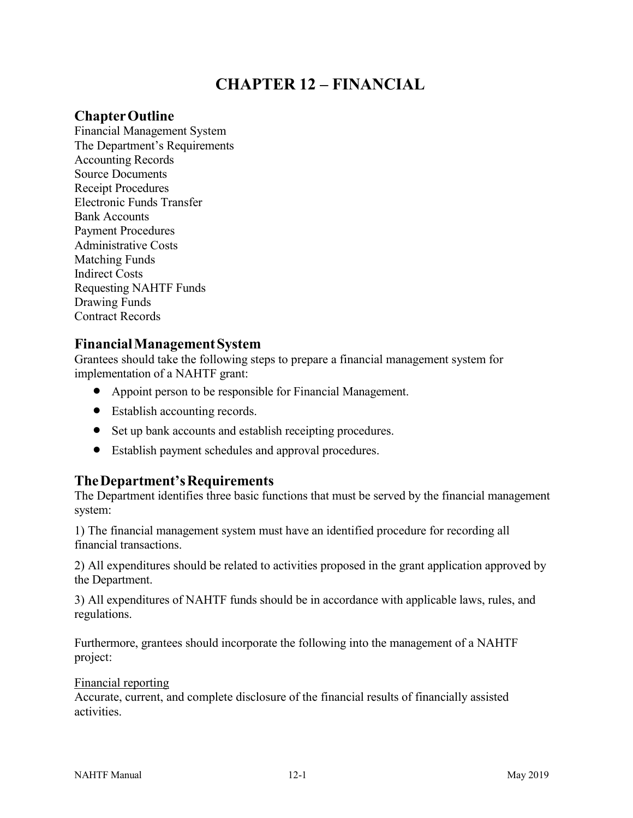# **CHAPTER 12 – FINANCIAL**

### **ChapterOutline**

Financial Management System The Department's Requirements Accounting Records Source Documents Receipt Procedures Electronic Funds Transfer Bank Accounts Payment Procedures Administrative Costs Matching Funds Indirect Costs Requesting NAHTF Funds Drawing Funds Contract Records

### **FinancialManagementSystem**

Grantees should take the following steps to prepare a financial management system for implementation of a NAHTF grant:

- Appoint person to be responsible for Financial Management.
- Establish accounting records.
- Set up bank accounts and establish receipting procedures.
- Establish payment schedules and approval procedures.

# **TheDepartment'sRequirements**

The Department identifies three basic functions that must be served by the financial management system:

1) The financial management system must have an identified procedure for recording all financial transactions.

2) All expenditures should be related to activities proposed in the grant application approved by the Department.

3) All expenditures of NAHTF funds should be in accordance with applicable laws, rules, and regulations.

Furthermore, grantees should incorporate the following into the management of a NAHTF project:

#### Financial reporting

Accurate, current, and complete disclosure of the financial results of financially assisted activities.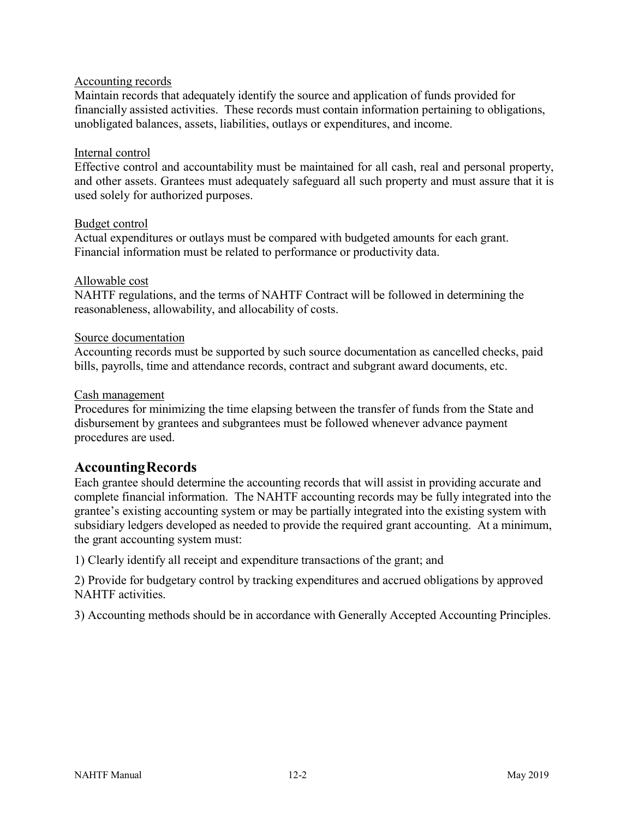#### Accounting records

Maintain records that adequately identify the source and application of funds provided for financially assisted activities. These records must contain information pertaining to obligations, unobligated balances, assets, liabilities, outlays or expenditures, and income.

#### Internal control

Effective control and accountability must be maintained for all cash, real and personal property, and other assets. Grantees must adequately safeguard all such property and must assure that it is used solely for authorized purposes.

#### Budget control

Actual expenditures or outlays must be compared with budgeted amounts for each grant. Financial information must be related to performance or productivity data.

### Allowable cost

NAHTF regulations, and the terms of NAHTF Contract will be followed in determining the reasonableness, allowability, and allocability of costs.

### Source documentation

Accounting records must be supported by such source documentation as cancelled checks, paid bills, payrolls, time and attendance records, contract and subgrant award documents, etc.

#### Cash management

Procedures for minimizing the time elapsing between the transfer of funds from the State and disbursement by grantees and subgrantees must be followed whenever advance payment procedures are used.

### **AccountingRecords**

Each grantee should determine the accounting records that will assist in providing accurate and complete financial information. The NAHTF accounting records may be fully integrated into the grantee's existing accounting system or may be partially integrated into the existing system with subsidiary ledgers developed as needed to provide the required grant accounting. At a minimum, the grant accounting system must:

1) Clearly identify all receipt and expenditure transactions of the grant; and

2) Provide for budgetary control by tracking expenditures and accrued obligations by approved NAHTF activities.

3) Accounting methods should be in accordance with Generally Accepted Accounting Principles.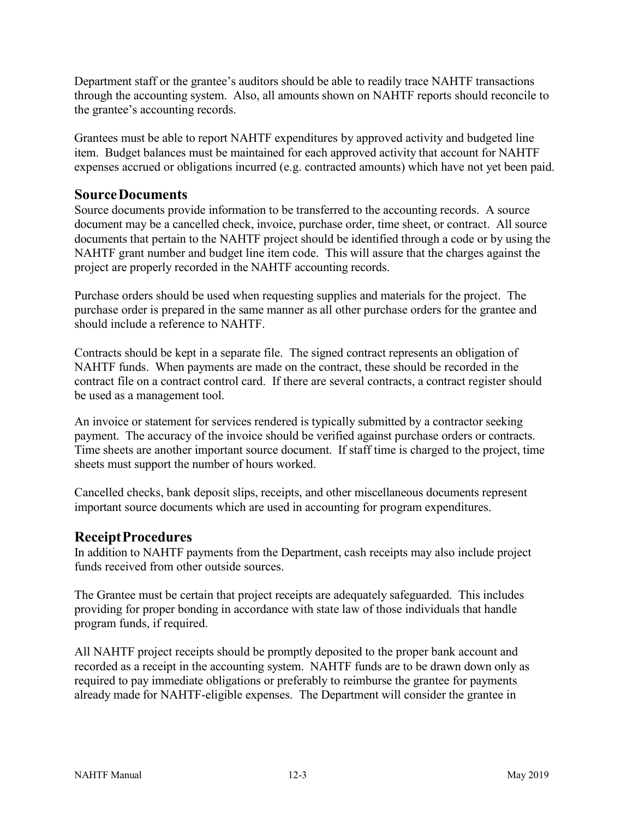Department staff or the grantee's auditors should be able to readily trace NAHTF transactions through the accounting system. Also, all amounts shown on NAHTF reports should reconcile to the grantee's accounting records.

Grantees must be able to report NAHTF expenditures by approved activity and budgeted line item. Budget balances must be maintained for each approved activity that account for NAHTF expenses accrued or obligations incurred (e.g. contracted amounts) which have not yet been paid.

### **SourceDocuments**

Source documents provide information to be transferred to the accounting records. A source document may be a cancelled check, invoice, purchase order, time sheet, or contract. All source documents that pertain to the NAHTF project should be identified through a code or by using the NAHTF grant number and budget line item code. This will assure that the charges against the project are properly recorded in the NAHTF accounting records.

Purchase orders should be used when requesting supplies and materials for the project. The purchase order is prepared in the same manner as all other purchase orders for the grantee and should include a reference to NAHTF.

Contracts should be kept in a separate file. The signed contract represents an obligation of NAHTF funds. When payments are made on the contract, these should be recorded in the contract file on a contract control card. If there are several contracts, a contract register should be used as a management tool.

An invoice or statement for services rendered is typically submitted by a contractor seeking payment. The accuracy of the invoice should be verified against purchase orders or contracts. Time sheets are another important source document. If staff time is charged to the project, time sheets must support the number of hours worked.

Cancelled checks, bank deposit slips, receipts, and other miscellaneous documents represent important source documents which are used in accounting for program expenditures.

# **ReceiptProcedures**

In addition to NAHTF payments from the Department, cash receipts may also include project funds received from other outside sources.

The Grantee must be certain that project receipts are adequately safeguarded. This includes providing for proper bonding in accordance with state law of those individuals that handle program funds, if required.

All NAHTF project receipts should be promptly deposited to the proper bank account and recorded as a receipt in the accounting system. NAHTF funds are to be drawn down only as required to pay immediate obligations or preferably to reimburse the grantee for payments already made for NAHTF-eligible expenses. The Department will consider the grantee in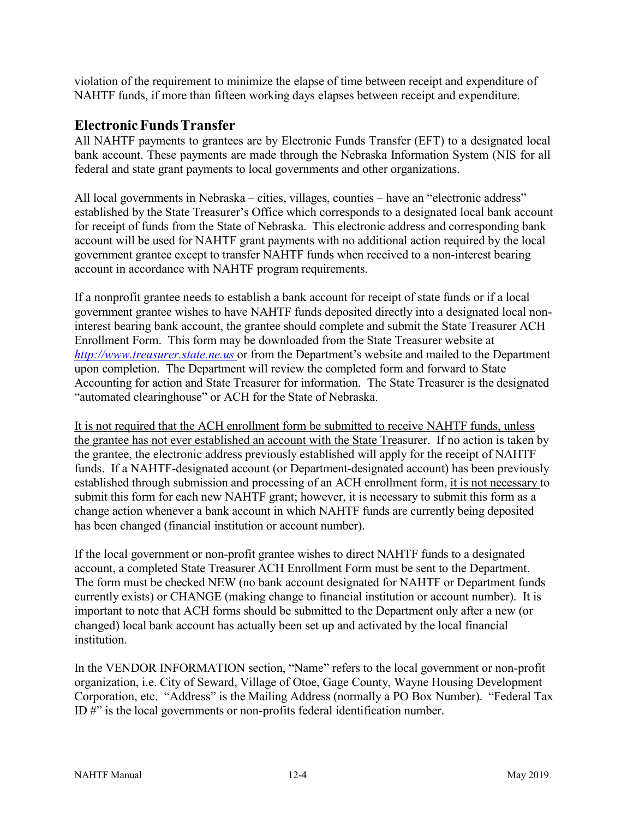violation of the requirement to minimize the elapse of time between receipt and expenditure of NAHTF funds, if more than fifteen working days elapses between receipt and expenditure.

### **ElectronicFundsTransfer**

All NAHTF payments to grantees are by Electronic Funds Transfer (EFT) to a designated local bank account. These payments are made through the Nebraska Information System (NIS for all federal and state grant payments to local governments and other organizations.

All local governments in Nebraska – cities, villages, counties – have an "electronic address" established by the State Treasurer's Office which corresponds to a designated local bank account for receipt of funds from the State of Nebraska. This electronic address and corresponding bank account will be used for NAHTF grant payments with no additional action required by the local government grantee except to transfer NAHTF funds when received to a non-interest bearing account in accordance with NAHTF program requirements.

If a nonprofit grantee needs to establish a bank account for receipt of state funds or if a local government grantee wishes to have NAHTF funds deposited directly into a designated local noninterest bearing bank account, the grantee should complete and submit the State Treasurer ACH Enrollment Form. This form may be downloaded from the State Treasurer website at *[http://www.treasurer.state.ne.us](http://www.treasurer.state.ne.us/)* or from the Department's website and mailed to the Department upon completion. The Department will review the completed form and forward to State Accounting for action and State Treasurer for information. The State Treasurer is the designated "automated clearinghouse" or ACH for the State of Nebraska.

It is not required that the ACH enrollment form be submitted to receive NAHTF funds, unless the grantee has not ever established an account with the State Treasurer. If no action is taken by the grantee, the electronic address previously established will apply for the receipt of NAHTF funds. If a NAHTF-designated account (or Department-designated account) has been previously established through submission and processing of an ACH enrollment form, it is not necessary to submit this form for each new NAHTF grant; however, it is necessary to submit this form as a change action whenever a bank account in which NAHTF funds are currently being deposited has been changed (financial institution or account number).

If the local government or non-profit grantee wishes to direct NAHTF funds to a designated account, a completed State Treasurer ACH Enrollment Form must be sent to the Department. The form must be checked NEW (no bank account designated for NAHTF or Department funds currently exists) or CHANGE (making change to financial institution or account number). It is important to note that ACH forms should be submitted to the Department only after a new (or changed) local bank account has actually been set up and activated by the local financial institution.

In the VENDOR INFORMATION section, "Name" refers to the local government or non-profit organization, i.e. City of Seward, Village of Otoe, Gage County, Wayne Housing Development Corporation, etc. "Address" is the Mailing Address (normally a PO Box Number). "Federal Tax ID #" is the local governments or non-profits federal identification number.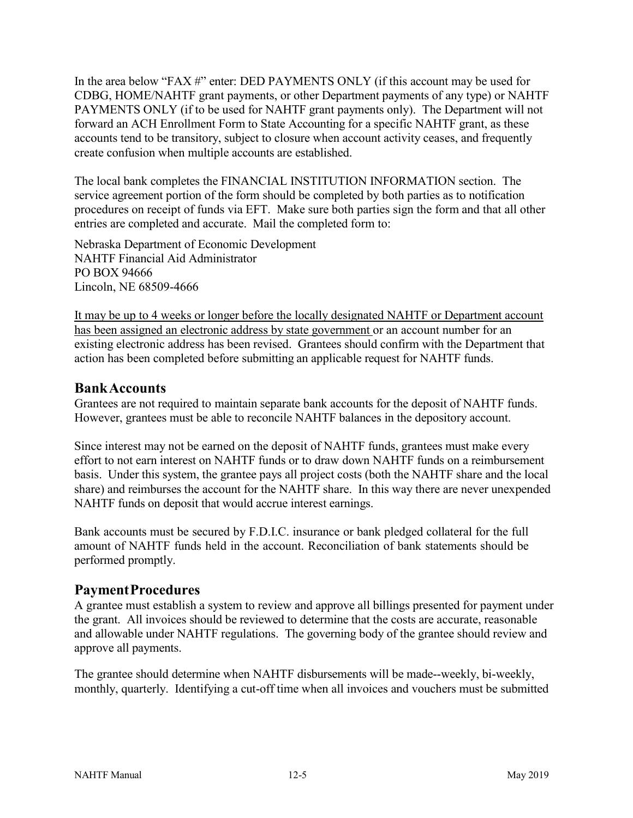In the area below "FAX #" enter: DED PAYMENTS ONLY (if this account may be used for CDBG, HOME/NAHTF grant payments, or other Department payments of any type) or NAHTF PAYMENTS ONLY (if to be used for NAHTF grant payments only). The Department will not forward an ACH Enrollment Form to State Accounting for a specific NAHTF grant, as these accounts tend to be transitory, subject to closure when account activity ceases, and frequently create confusion when multiple accounts are established.

The local bank completes the FINANCIAL INSTITUTION INFORMATION section. The service agreement portion of the form should be completed by both parties as to notification procedures on receipt of funds via EFT. Make sure both parties sign the form and that all other entries are completed and accurate. Mail the completed form to:

Nebraska Department of Economic Development NAHTF Financial Aid Administrator PO BOX 94666 Lincoln, NE 68509-4666

It may be up to 4 weeks or longer before the locally designated NAHTF or Department account has been assigned an electronic address by state government or an account number for an existing electronic address has been revised. Grantees should confirm with the Department that action has been completed before submitting an applicable request for NAHTF funds.

# **BankAccounts**

Grantees are not required to maintain separate bank accounts for the deposit of NAHTF funds. However, grantees must be able to reconcile NAHTF balances in the depository account.

Since interest may not be earned on the deposit of NAHTF funds, grantees must make every effort to not earn interest on NAHTF funds or to draw down NAHTF funds on a reimbursement basis. Under this system, the grantee pays all project costs (both the NAHTF share and the local share) and reimburses the account for the NAHTF share. In this way there are never unexpended NAHTF funds on deposit that would accrue interest earnings.

Bank accounts must be secured by F.D.I.C. insurance or bank pledged collateral for the full amount of NAHTF funds held in the account. Reconciliation of bank statements should be performed promptly.

# **PaymentProcedures**

A grantee must establish a system to review and approve all billings presented for payment under the grant. All invoices should be reviewed to determine that the costs are accurate, reasonable and allowable under NAHTF regulations. The governing body of the grantee should review and approve all payments.

The grantee should determine when NAHTF disbursements will be made--weekly, bi-weekly, monthly, quarterly. Identifying a cut-off time when all invoices and vouchers must be submitted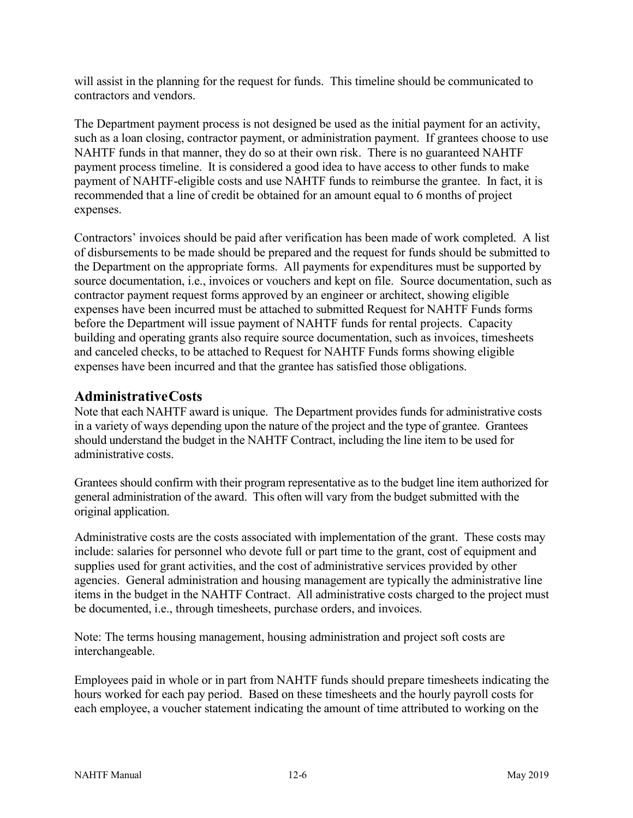will assist in the planning for the request for funds. This timeline should be communicated to contractors and vendors.

The Department payment process is not designed be used as the initial payment for an activity, such as a loan closing, contractor payment, or administration payment. If grantees choose to use NAHTF funds in that manner, they do so at their own risk. There is no guaranteed NAHTF payment process timeline. It is considered a good idea to have access to other funds to make payment of NAHTF-eligible costs and use NAHTF funds to reimburse the grantee. In fact, it is recommended that a line of credit be obtained for an amount equal to 6 months of project expenses.

Contractors' invoices should be paid after verification has been made of work completed. A list of disbursements to be made should be prepared and the request for funds should be submitted to the Department on the appropriate forms. All payments for expenditures must be supported by source documentation, i.e., invoices or vouchers and kept on file. Source documentation, such as contractor payment request forms approved by an engineer or architect, showing eligible expenses have been incurred must be attached to submitted Request for NAHTF Funds forms before the Department will issue payment of NAHTF funds for rental projects. Capacity building and operating grants also require source documentation, such as invoices, timesheets and canceled checks, to be attached to Request for NAHTF Funds forms showing eligible expenses have been incurred and that the grantee has satisfied those obligations.

# **AdministrativeCosts**

Note that each NAHTF award is unique. The Department provides funds for administrative costs in a variety of ways depending upon the nature of the project and the type of grantee. Grantees should understand the budget in the NAHTF Contract, including the line item to be used for administrative costs.

Grantees should confirm with their program representative as to the budget line item authorized for general administration of the award. This often will vary from the budget submitted with the original application.

Administrative costs are the costs associated with implementation of the grant. These costs may include: salaries for personnel who devote full or part time to the grant, cost of equipment and supplies used for grant activities, and the cost of administrative services provided by other agencies. General administration and housing management are typically the administrative line items in the budget in the NAHTF Contract. All administrative costs charged to the project must be documented, i.e., through timesheets, purchase orders, and invoices.

Note: The terms housing management, housing administration and project soft costs are interchangeable.

Employees paid in whole or in part from NAHTF funds should prepare timesheets indicating the hours worked for each pay period. Based on these timesheets and the hourly payroll costs for each employee, a voucher statement indicating the amount of time attributed to working on the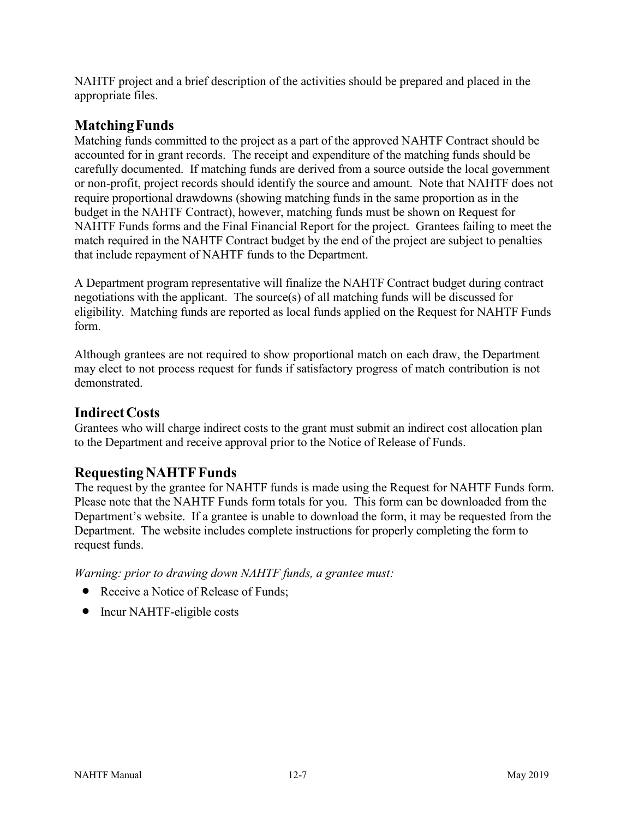NAHTF project and a brief description of the activities should be prepared and placed in the appropriate files.

# **MatchingFunds**

Matching funds committed to the project as a part of the approved NAHTF Contract should be accounted for in grant records. The receipt and expenditure of the matching funds should be carefully documented. If matching funds are derived from a source outside the local government or non-profit, project records should identify the source and amount. Note that NAHTF does not require proportional drawdowns (showing matching funds in the same proportion as in the budget in the NAHTF Contract), however, matching funds must be shown on Request for NAHTF Funds forms and the Final Financial Report for the project. Grantees failing to meet the match required in the NAHTF Contract budget by the end of the project are subject to penalties that include repayment of NAHTF funds to the Department.

A Department program representative will finalize the NAHTF Contract budget during contract negotiations with the applicant. The source(s) of all matching funds will be discussed for eligibility. Matching funds are reported as local funds applied on the Request for NAHTF Funds form.

Although grantees are not required to show proportional match on each draw, the Department may elect to not process request for funds if satisfactory progress of match contribution is not demonstrated.

# **IndirectCosts**

Grantees who will charge indirect costs to the grant must submit an indirect cost allocation plan to the Department and receive approval prior to the Notice of Release of Funds.

# **RequestingNAHTFFunds**

The request by the grantee for NAHTF funds is made using the Request for NAHTF Funds form. Please note that the NAHTF Funds form totals for you. This form can be downloaded from the Department's website. If a grantee is unable to download the form, it may be requested from the Department. The website includes complete instructions for properly completing the form to request funds.

*Warning: prior to drawing down NAHTF funds, a grantee must:*

- Receive a Notice of Release of Funds;
- Incur NAHTF-eligible costs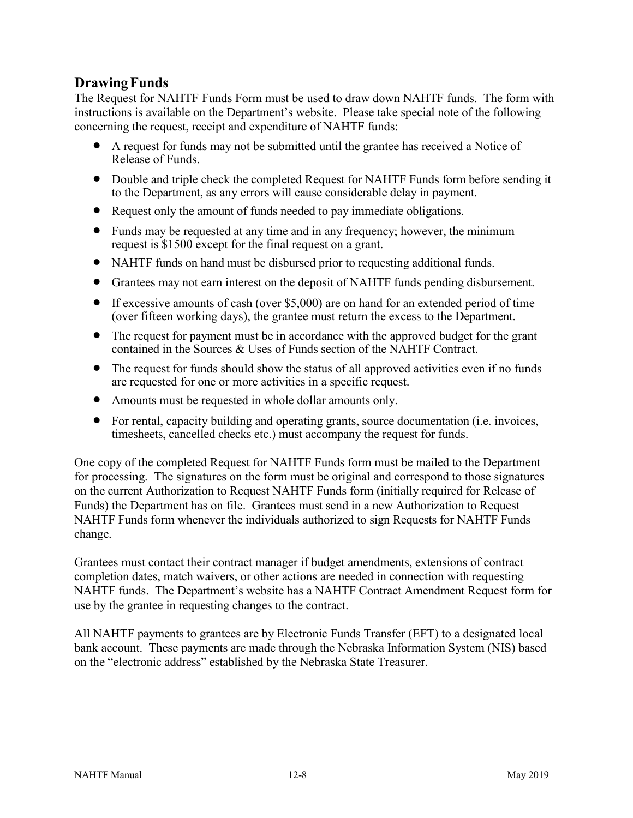# **DrawingFunds**

The Request for NAHTF Funds Form must be used to draw down NAHTF funds. The form with instructions is available on the Department's website. Please take special note of the following concerning the request, receipt and expenditure of NAHTF funds:

- A request for funds may not be submitted until the grantee has received a Notice of Release of Funds.
- Double and triple check the completed Request for NAHTF Funds form before sending it to the Department, as any errors will cause considerable delay in payment.
- Request only the amount of funds needed to pay immediate obligations.
- Funds may be requested at any time and in any frequency; however, the minimum request is \$1500 except for the final request on a grant.
- NAHTF funds on hand must be disbursed prior to requesting additional funds.
- Grantees may not earn interest on the deposit of NAHTF funds pending disbursement.
- If excessive amounts of cash (over \$5,000) are on hand for an extended period of time (over fifteen working days), the grantee must return the excess to the Department.
- The request for payment must be in accordance with the approved budget for the grant contained in the Sources & Uses of Funds section of the NAHTF Contract.
- The request for funds should show the status of all approved activities even if no funds are requested for one or more activities in a specific request.
- Amounts must be requested in whole dollar amounts only.
- For rental, capacity building and operating grants, source documentation (i.e. invoices, timesheets, cancelled checks etc.) must accompany the request for funds.

One copy of the completed Request for NAHTF Funds form must be mailed to the Department for processing. The signatures on the form must be original and correspond to those signatures on the current Authorization to Request NAHTF Funds form (initially required for Release of Funds) the Department has on file. Grantees must send in a new Authorization to Request NAHTF Funds form whenever the individuals authorized to sign Requests for NAHTF Funds change.

Grantees must contact their contract manager if budget amendments, extensions of contract completion dates, match waivers, or other actions are needed in connection with requesting NAHTF funds. The Department's website has a NAHTF Contract Amendment Request form for use by the grantee in requesting changes to the contract.

All NAHTF payments to grantees are by Electronic Funds Transfer (EFT) to a designated local bank account. These payments are made through the Nebraska Information System (NIS) based on the "electronic address" established by the Nebraska State Treasurer.